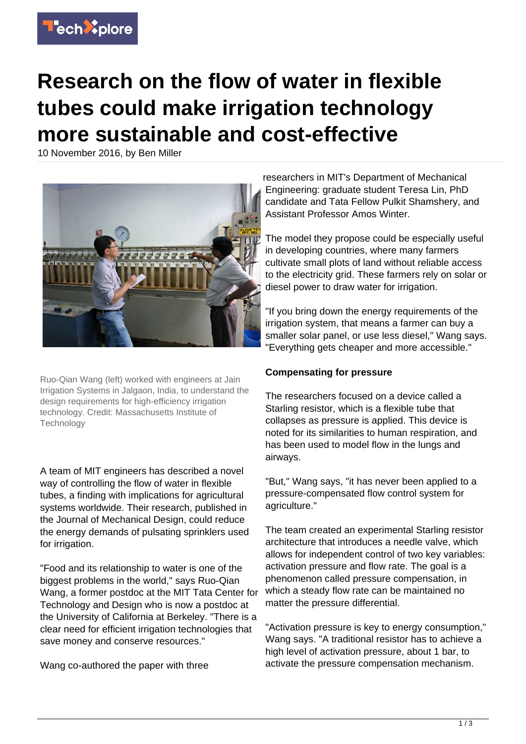

## **Research on the flow of water in flexible tubes could make irrigation technology more sustainable and cost-effective**

10 November 2016, by Ben Miller



Ruo-Qian Wang (left) worked with engineers at Jain Irrigation Systems in Jalgaon, India, to understand the design requirements for high-efficiency irrigation technology. Credit: Massachusetts Institute of **Technology** 

A team of MIT engineers has described a novel way of controlling the flow of water in flexible tubes, a finding with implications for agricultural systems worldwide. Their research, published in the Journal of Mechanical Design, could reduce the energy demands of pulsating sprinklers used for irrigation.

"Food and its relationship to water is one of the biggest problems in the world," says Ruo-Qian Wang, a former postdoc at the MIT Tata Center for Technology and Design who is now a postdoc at the University of California at Berkeley. "There is a clear need for efficient irrigation technologies that save money and conserve resources."

Wang co-authored the paper with three

researchers in MIT's Department of Mechanical Engineering: graduate student Teresa Lin, PhD candidate and Tata Fellow Pulkit Shamshery, and Assistant Professor Amos Winter.

The model they propose could be especially useful in developing countries, where many farmers cultivate small plots of land without reliable access to the electricity grid. These farmers rely on solar or diesel power to draw water for irrigation.

"If you bring down the energy requirements of the irrigation system, that means a farmer can buy a smaller solar panel, or use less diesel," Wang says. "Everything gets cheaper and more accessible."

## **Compensating for pressure**

The researchers focused on a device called a Starling resistor, which is a flexible tube that collapses as pressure is applied. This device is noted for its similarities to human respiration, and has been used to model flow in the lungs and airways.

"But," Wang says, "it has never been applied to a pressure-compensated flow control system for agriculture."

The team created an experimental Starling resistor architecture that introduces a needle valve, which allows for independent control of two key variables: activation pressure and flow rate. The goal is a phenomenon called pressure compensation, in which a steady flow rate can be maintained no matter the pressure differential.

"Activation pressure is key to energy consumption," Wang says. "A traditional resistor has to achieve a high level of activation pressure, about 1 bar, to activate the pressure compensation mechanism.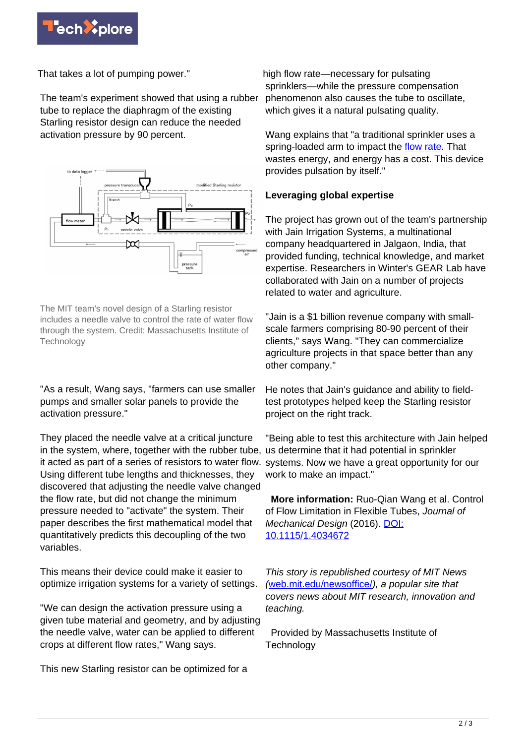

That takes a lot of pumping power."

The team's experiment showed that using a rubber tube to replace the diaphragm of the existing Starling resistor design can reduce the needed activation pressure by 90 percent.



The MIT team's novel design of a Starling resistor includes a needle valve to control the rate of water flow through the system. Credit: Massachusetts Institute of **Technology** 

"As a result, Wang says, "farmers can use smaller pumps and smaller solar panels to provide the activation pressure."

They placed the needle valve at a critical juncture in the system, where, together with the rubber tube, us determine that it had potential in sprinkler it acted as part of a series of resistors to water flow. systems. Now we have a great opportunity for our Using different tube lengths and thicknesses, they discovered that adjusting the needle valve changed the flow rate, but did not change the minimum pressure needed to "activate" the system. Their paper describes the first mathematical model that quantitatively predicts this decoupling of the two variables.

This means their device could make it easier to optimize irrigation systems for a variety of settings.

"We can design the activation pressure using a given tube material and geometry, and by adjusting the needle valve, water can be applied to different crops at different flow rates," Wang says.

This new Starling resistor can be optimized for a

high flow rate—necessary for pulsating sprinklers—while the pressure compensation phenomenon also causes the tube to oscillate, which gives it a natural pulsating quality.

Wang explains that "a traditional sprinkler uses a spring-loaded arm to impact the [flow rate.](https://techxplore.com/tags/flow+rate/) That wastes energy, and energy has a cost. This device provides pulsation by itself."

## **Leveraging global expertise**

The project has grown out of the team's partnership with Jain Irrigation Systems, a multinational company headquartered in Jalgaon, India, that provided funding, technical knowledge, and market expertise. Researchers in Winter's GEAR Lab have collaborated with Jain on a number of projects related to water and agriculture.

"Jain is a \$1 billion revenue company with smallscale farmers comprising 80-90 percent of their clients," says Wang. "They can commercialize agriculture projects in that space better than any other company."

He notes that Jain's guidance and ability to fieldtest prototypes helped keep the Starling resistor project on the right track.

"Being able to test this architecture with Jain helped work to make an impact."

 **More information:** Ruo-Qian Wang et al. Control of Flow Limitation in Flexible Tubes, Journal of Mechanical Design (2016). [DOI:](http://dx.doi.org/10.1115/1.4034672) [10.1115/1.4034672](http://dx.doi.org/10.1115/1.4034672)

This story is republished courtesy of MIT News ([web.mit.edu/newsoffice/](http://web.mit.edu/newsoffice/)), a popular site that covers news about MIT research, innovation and teaching.

 Provided by Massachusetts Institute of **Technology**